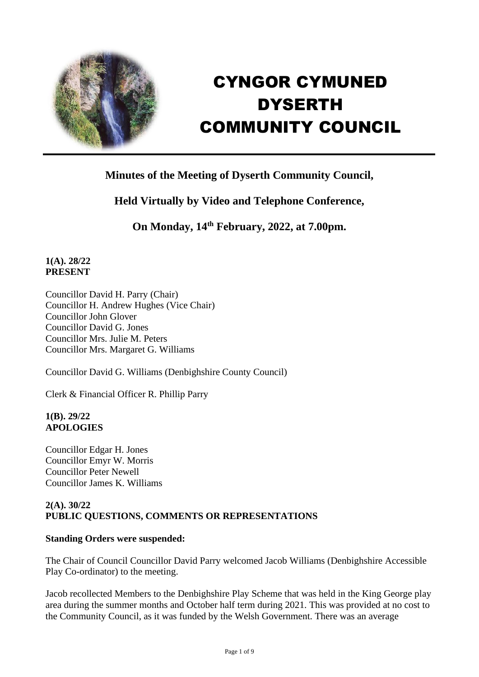

# CYNGOR CYMUNED **DYSERTH** COMMUNITY COUNCIL

# **Minutes of the Meeting of Dyserth Community Council,**

# **Held Virtually by Video and Telephone Conference,**

**On Monday, 14th February, 2022, at 7.00pm.**

# **1(A). 28/22 PRESENT**

Councillor David H. Parry (Chair) Councillor H. Andrew Hughes (Vice Chair) Councillor John Glover Councillor David G. Jones Councillor Mrs. Julie M. Peters Councillor Mrs. Margaret G. Williams

Councillor David G. Williams (Denbighshire County Council)

Clerk & Financial Officer R. Phillip Parry

#### **1(B). 29/22 APOLOGIES**

Councillor Edgar H. Jones Councillor Emyr W. Morris Councillor Peter Newell Councillor James K. Williams

# **2(A). 30/22 PUBLIC QUESTIONS, COMMENTS OR REPRESENTATIONS**

# **Standing Orders were suspended:**

The Chair of Council Councillor David Parry welcomed Jacob Williams (Denbighshire Accessible Play Co-ordinator) to the meeting.

Jacob recollected Members to the Denbighshire Play Scheme that was held in the King George play area during the summer months and October half term during 2021. This was provided at no cost to the Community Council, as it was funded by the Welsh Government. There was an average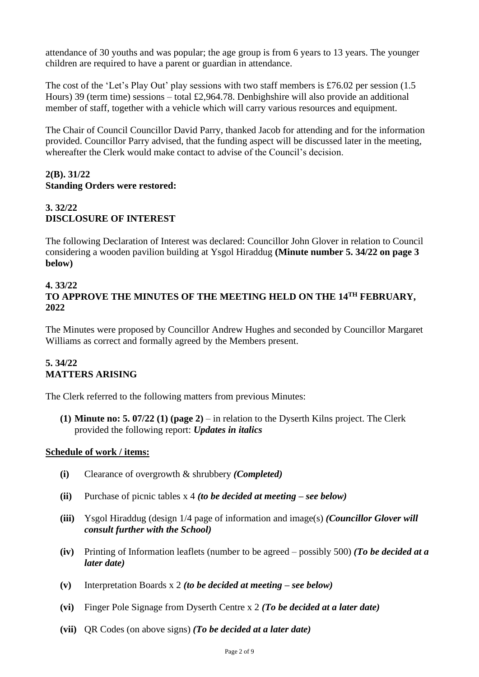attendance of 30 youths and was popular; the age group is from 6 years to 13 years. The younger children are required to have a parent or guardian in attendance.

The cost of the 'Let's Play Out' play sessions with two staff members is £76.02 per session (1.5 Hours) 39 (term time) sessions – total £2,964.78. Denbighshire will also provide an additional member of staff, together with a vehicle which will carry various resources and equipment.

The Chair of Council Councillor David Parry, thanked Jacob for attending and for the information provided. Councillor Parry advised, that the funding aspect will be discussed later in the meeting, whereafter the Clerk would make contact to advise of the Council's decision.

## **2(B). 31/22 Standing Orders were restored:**

# **3. 32/22 DISCLOSURE OF INTEREST**

The following Declaration of Interest was declared: Councillor John Glover in relation to Council considering a wooden pavilion building at Ysgol Hiraddug **(Minute number 5. 34/22 on page 3 below)**

#### **4. 33/22 TO APPROVE THE MINUTES OF THE MEETING HELD ON THE 14TH FEBRUARY, 2022**

The Minutes were proposed by Councillor Andrew Hughes and seconded by Councillor Margaret Williams as correct and formally agreed by the Members present.

# **5. 34/22 MATTERS ARISING**

The Clerk referred to the following matters from previous Minutes:

**(1) Minute no: 5. 07/22 (1) (page 2)** – in relation to the Dyserth Kilns project. The Clerk provided the following report: *Updates in italics*

#### **Schedule of work / items:**

- **(i)** Clearance of overgrowth & shrubbery *(Completed)*
- **(ii)** Purchase of picnic tables x 4 *(to be decided at meeting – see below)*
- **(iii)** Ysgol Hiraddug (design 1/4 page of information and image(s) *(Councillor Glover will consult further with the School)*
- **(iv)** Printing of Information leaflets (number to be agreed possibly 500) *(To be decided at a later date)*
- **(v)** Interpretation Boards x 2 *(to be decided at meeting – see below)*
- **(vi)** Finger Pole Signage from Dyserth Centre x 2 *(To be decided at a later date)*
- **(vii)** QR Codes (on above signs) *(To be decided at a later date)*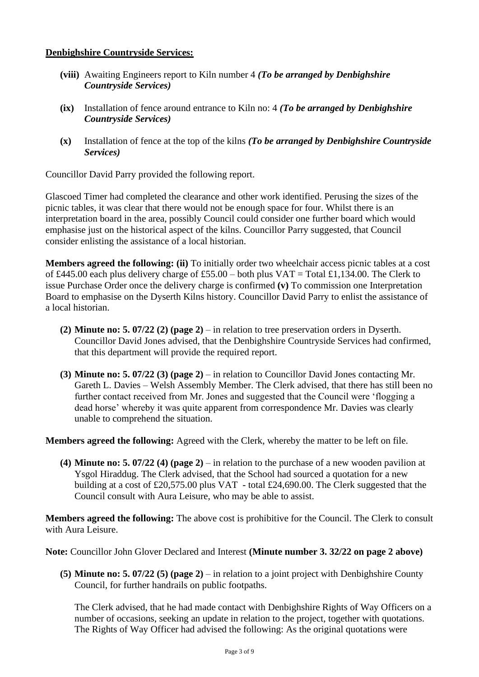#### **Denbighshire Countryside Services:**

- **(viii)** Awaiting Engineers report to Kiln number 4 *(To be arranged by Denbighshire Countryside Services)*
- **(ix)** Installation of fence around entrance to Kiln no: 4 *(To be arranged by Denbighshire Countryside Services)*
- **(x)** Installation of fence at the top of the kilns *(To be arranged by Denbighshire Countryside Services)*

Councillor David Parry provided the following report.

Glascoed Timer had completed the clearance and other work identified. Perusing the sizes of the picnic tables, it was clear that there would not be enough space for four. Whilst there is an interpretation board in the area, possibly Council could consider one further board which would emphasise just on the historical aspect of the kilns. Councillor Parry suggested, that Council consider enlisting the assistance of a local historian.

**Members agreed the following: (ii)** To initially order two wheelchair access picnic tables at a cost of £445.00 each plus delivery charge of £55.00 – both plus VAT = Total £1,134.00. The Clerk to issue Purchase Order once the delivery charge is confirmed **(v)** To commission one Interpretation Board to emphasise on the Dyserth Kilns history. Councillor David Parry to enlist the assistance of a local historian.

- **(2) Minute no: 5. 07/22 (2) (page 2)** in relation to tree preservation orders in Dyserth. Councillor David Jones advised, that the Denbighshire Countryside Services had confirmed, that this department will provide the required report.
- **(3) Minute no: 5. 07/22 (3) (page 2)** in relation to Councillor David Jones contacting Mr. Gareth L. Davies – Welsh Assembly Member. The Clerk advised, that there has still been no further contact received from Mr. Jones and suggested that the Council were 'flogging a dead horse' whereby it was quite apparent from correspondence Mr. Davies was clearly unable to comprehend the situation.

**Members agreed the following:** Agreed with the Clerk, whereby the matter to be left on file.

**(4) Minute no: 5. 07/22 (4) (page 2)** – in relation to the purchase of a new wooden pavilion at Ysgol Hiraddug. The Clerk advised, that the School had sourced a quotation for a new building at a cost of £20,575.00 plus VAT - total £24,690.00. The Clerk suggested that the Council consult with Aura Leisure, who may be able to assist.

**Members agreed the following:** The above cost is prohibitive for the Council. The Clerk to consult with Aura Leisure.

**Note:** Councillor John Glover Declared and Interest **(Minute number 3. 32/22 on page 2 above)**

**(5) Minute no: 5. 07/22 (5) (page 2)** – in relation to a joint project with Denbighshire County Council, for further handrails on public footpaths.

The Clerk advised, that he had made contact with Denbighshire Rights of Way Officers on a number of occasions, seeking an update in relation to the project, together with quotations. The Rights of Way Officer had advised the following: As the original quotations were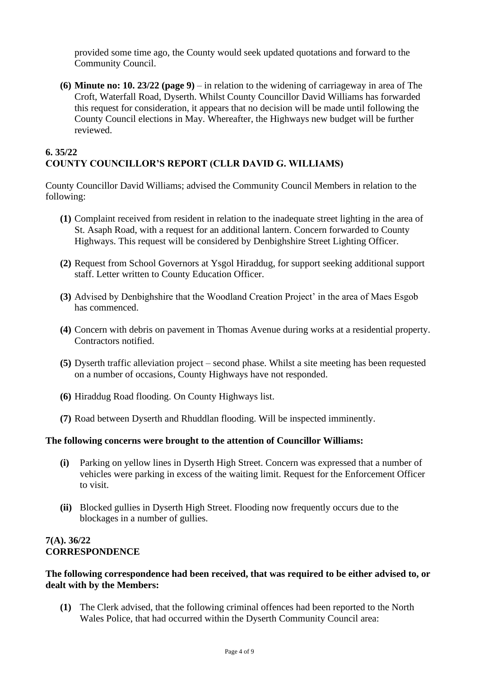provided some time ago, the County would seek updated quotations and forward to the Community Council.

**(6) Minute no: 10. 23/22 (page 9)** – in relation to the widening of carriageway in area of The Croft, Waterfall Road, Dyserth. Whilst County Councillor David Williams has forwarded this request for consideration, it appears that no decision will be made until following the County Council elections in May. Whereafter, the Highways new budget will be further reviewed.

# **6. 35/22 COUNTY COUNCILLOR'S REPORT (CLLR DAVID G. WILLIAMS)**

County Councillor David Williams; advised the Community Council Members in relation to the following:

- **(1)** Complaint received from resident in relation to the inadequate street lighting in the area of St. Asaph Road, with a request for an additional lantern. Concern forwarded to County Highways. This request will be considered by Denbighshire Street Lighting Officer.
- **(2)** Request from School Governors at Ysgol Hiraddug, for support seeking additional support staff. Letter written to County Education Officer.
- **(3)** Advised by Denbighshire that the Woodland Creation Project' in the area of Maes Esgob has commenced.
- **(4)** Concern with debris on pavement in Thomas Avenue during works at a residential property. Contractors notified.
- **(5)** Dyserth traffic alleviation project second phase. Whilst a site meeting has been requested on a number of occasions, County Highways have not responded.
- **(6)** Hiraddug Road flooding. On County Highways list.
- **(7)** Road between Dyserth and Rhuddlan flooding. Will be inspected imminently.

#### **The following concerns were brought to the attention of Councillor Williams:**

- **(i)** Parking on yellow lines in Dyserth High Street. Concern was expressed that a number of vehicles were parking in excess of the waiting limit. Request for the Enforcement Officer to visit.
- **(ii)** Blocked gullies in Dyserth High Street. Flooding now frequently occurs due to the blockages in a number of gullies.

#### **7(A). 36/22 CORRESPONDENCE**

#### **The following correspondence had been received, that was required to be either advised to, or dealt with by the Members:**

**(1)** The Clerk advised, that the following criminal offences had been reported to the North Wales Police, that had occurred within the Dyserth Community Council area: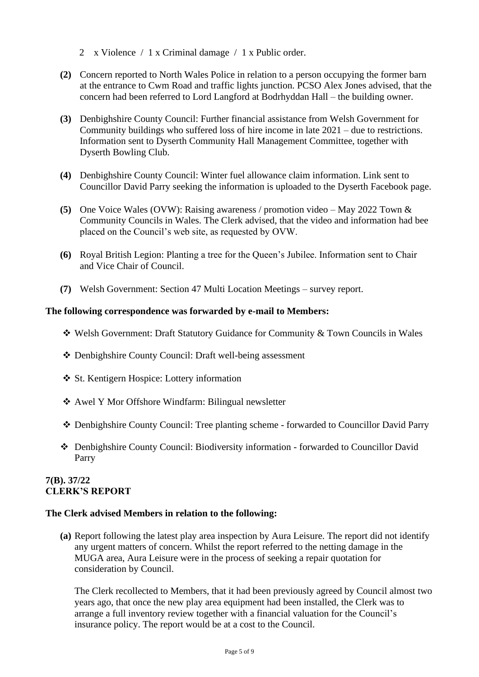- 2 x Violence / 1 x Criminal damage / 1 x Public order.
- **(2)** Concern reported to North Wales Police in relation to a person occupying the former barn at the entrance to Cwm Road and traffic lights junction. PCSO Alex Jones advised, that the concern had been referred to Lord Langford at Bodrhyddan Hall – the building owner.
- **(3)** Denbighshire County Council: Further financial assistance from Welsh Government for Community buildings who suffered loss of hire income in late 2021 – due to restrictions. Information sent to Dyserth Community Hall Management Committee, together with Dyserth Bowling Club.
- **(4)** Denbighshire County Council: Winter fuel allowance claim information. Link sent to Councillor David Parry seeking the information is uploaded to the Dyserth Facebook page.
- **(5)** One Voice Wales (OVW): Raising awareness / promotion video May 2022 Town & Community Councils in Wales. The Clerk advised, that the video and information had bee placed on the Council's web site, as requested by OVW.
- **(6)** Royal British Legion: Planting a tree for the Queen's Jubilee. Information sent to Chair and Vice Chair of Council.
- **(7)** Welsh Government: Section 47 Multi Location Meetings survey report.

#### **The following correspondence was forwarded by e-mail to Members:**

- ❖ Welsh Government: Draft Statutory Guidance for Community & Town Councils in Wales
- ❖ Denbighshire County Council: Draft well-being assessment
- ❖ St. Kentigern Hospice: Lottery information
- ❖ Awel Y Mor Offshore Windfarm: Bilingual newsletter
- ❖ Denbighshire County Council: Tree planting scheme forwarded to Councillor David Parry
- ❖ Denbighshire County Council: Biodiversity information forwarded to Councillor David Parry

#### **7(B). 37/22 CLERK'S REPORT**

#### **The Clerk advised Members in relation to the following:**

**(a)** Report following the latest play area inspection by Aura Leisure. The report did not identify any urgent matters of concern. Whilst the report referred to the netting damage in the MUGA area, Aura Leisure were in the process of seeking a repair quotation for consideration by Council.

The Clerk recollected to Members, that it had been previously agreed by Council almost two years ago, that once the new play area equipment had been installed, the Clerk was to arrange a full inventory review together with a financial valuation for the Council's insurance policy. The report would be at a cost to the Council.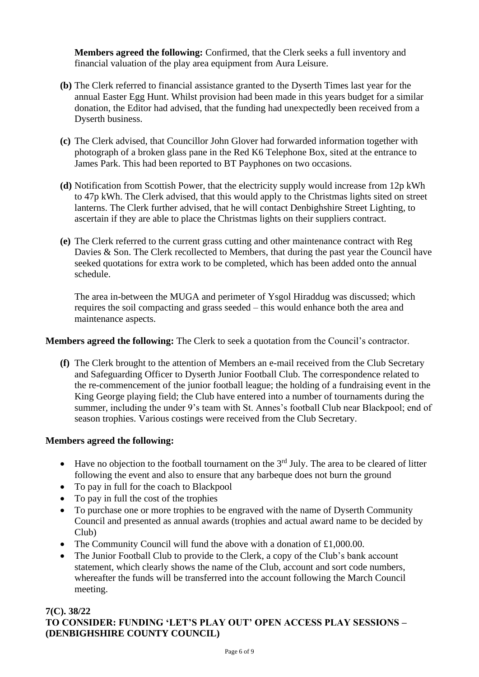**Members agreed the following:** Confirmed, that the Clerk seeks a full inventory and financial valuation of the play area equipment from Aura Leisure.

- **(b)** The Clerk referred to financial assistance granted to the Dyserth Times last year for the annual Easter Egg Hunt. Whilst provision had been made in this years budget for a similar donation, the Editor had advised, that the funding had unexpectedly been received from a Dyserth business.
- **(c)** The Clerk advised, that Councillor John Glover had forwarded information together with photograph of a broken glass pane in the Red K6 Telephone Box, sited at the entrance to James Park. This had been reported to BT Payphones on two occasions.
- **(d)** Notification from Scottish Power, that the electricity supply would increase from 12p kWh to 47p kWh. The Clerk advised, that this would apply to the Christmas lights sited on street lanterns. The Clerk further advised, that he will contact Denbighshire Street Lighting, to ascertain if they are able to place the Christmas lights on their suppliers contract.
- **(e)** The Clerk referred to the current grass cutting and other maintenance contract with Reg Davies & Son. The Clerk recollected to Members, that during the past year the Council have seeked quotations for extra work to be completed, which has been added onto the annual schedule.

The area in-between the MUGA and perimeter of Ysgol Hiraddug was discussed; which requires the soil compacting and grass seeded – this would enhance both the area and maintenance aspects.

# **Members agreed the following:** The Clerk to seek a quotation from the Council's contractor.

**(f)** The Clerk brought to the attention of Members an e-mail received from the Club Secretary and Safeguarding Officer to Dyserth Junior Football Club. The correspondence related to the re-commencement of the junior football league; the holding of a fundraising event in the King George playing field; the Club have entered into a number of tournaments during the summer, including the under 9's team with St. Annes's football Club near Blackpool; end of season trophies. Various costings were received from the Club Secretary.

# **Members agreed the following:**

- Have no objection to the football tournament on the  $3<sup>rd</sup>$  July. The area to be cleared of litter following the event and also to ensure that any barbeque does not burn the ground
- To pay in full for the coach to Blackpool
- To pay in full the cost of the trophies
- To purchase one or more trophies to be engraved with the name of Dyserth Community Council and presented as annual awards (trophies and actual award name to be decided by Club)
- The Community Council will fund the above with a donation of £1,000.00.
- The Junior Football Club to provide to the Clerk, a copy of the Club's bank account statement, which clearly shows the name of the Club, account and sort code numbers, whereafter the funds will be transferred into the account following the March Council meeting.

#### **7(C). 38/22 TO CONSIDER: FUNDING 'LET'S PLAY OUT' OPEN ACCESS PLAY SESSIONS – (DENBIGHSHIRE COUNTY COUNCIL)**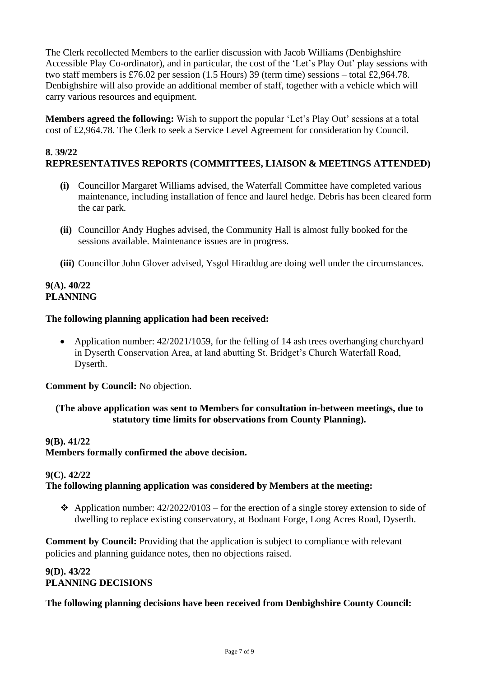The Clerk recollected Members to the earlier discussion with Jacob Williams (Denbighshire Accessible Play Co-ordinator), and in particular, the cost of the 'Let's Play Out' play sessions with two staff members is £76.02 per session (1.5 Hours) 39 (term time) sessions – total £2,964.78. Denbighshire will also provide an additional member of staff, together with a vehicle which will carry various resources and equipment.

**Members agreed the following:** Wish to support the popular 'Let's Play Out' sessions at a total cost of £2,964.78. The Clerk to seek a Service Level Agreement for consideration by Council.

# **8. 39/22 REPRESENTATIVES REPORTS (COMMITTEES, LIAISON & MEETINGS ATTENDED)**

- **(i)** Councillor Margaret Williams advised, the Waterfall Committee have completed various maintenance, including installation of fence and laurel hedge. Debris has been cleared form the car park.
- **(ii)** Councillor Andy Hughes advised, the Community Hall is almost fully booked for the sessions available. Maintenance issues are in progress.
- **(iii)** Councillor John Glover advised, Ysgol Hiraddug are doing well under the circumstances.

#### **9(A). 40/22 PLANNING**

#### **The following planning application had been received:**

• Application number:  $42/2021/1059$ , for the felling of 14 ash trees overhanging churchyard in Dyserth Conservation Area, at land abutting St. Bridget's Church Waterfall Road, Dyserth.

**Comment by Council:** No objection.

# **(The above application was sent to Members for consultation in-between meetings, due to statutory time limits for observations from County Planning).**

# **9(B). 41/22 Members formally confirmed the above decision.**

#### **9(C). 42/22 The following planning application was considered by Members at the meeting:**

❖ Application number: 42/2022/0103 – for the erection of a single storey extension to side of dwelling to replace existing conservatory, at Bodnant Forge, Long Acres Road, Dyserth.

**Comment by Council:** Providing that the application is subject to compliance with relevant policies and planning guidance notes, then no objections raised.

# **9(D). 43/22 PLANNING DECISIONS**

# **The following planning decisions have been received from Denbighshire County Council:**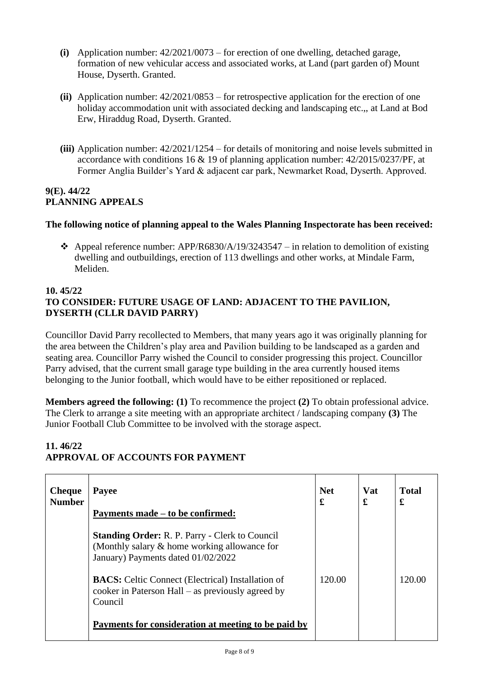- **(i)** Application number: 42/2021/0073 for erection of one dwelling, detached garage, formation of new vehicular access and associated works, at Land (part garden of) Mount House, Dyserth. Granted.
- **(ii)** Application number: 42/2021/0853 for retrospective application for the erection of one holiday accommodation unit with associated decking and landscaping etc.,, at Land at Bod Erw, Hiraddug Road, Dyserth. Granted.
- **(iii)** Application number: 42/2021/1254 for details of monitoring and noise levels submitted in accordance with conditions 16 & 19 of planning application number: 42/2015/0237/PF, at Former Anglia Builder's Yard & adjacent car park, Newmarket Road, Dyserth. Approved.

#### **9(E). 44/22 PLANNING APPEALS**

# **The following notice of planning appeal to the Wales Planning Inspectorate has been received:**

❖ Appeal reference number: APP/R6830/A/19/3243547 – in relation to demolition of existing dwelling and outbuildings, erection of 113 dwellings and other works, at Mindale Farm, Meliden.

# **10. 45/22 TO CONSIDER: FUTURE USAGE OF LAND: ADJACENT TO THE PAVILION, DYSERTH (CLLR DAVID PARRY)**

Councillor David Parry recollected to Members, that many years ago it was originally planning for the area between the Children's play area and Pavilion building to be landscaped as a garden and seating area. Councillor Parry wished the Council to consider progressing this project. Councillor Parry advised, that the current small garage type building in the area currently housed items belonging to the Junior football, which would have to be either repositioned or replaced.

**Members agreed the following: (1)** To recommence the project **(2)** To obtain professional advice. The Clerk to arrange a site meeting with an appropriate architect / landscaping company **(3)** The Junior Football Club Committee to be involved with the storage aspect.

# **11. 46/22 APPROVAL OF ACCOUNTS FOR PAYMENT**

| <b>Cheque</b><br><b>Number</b> | Payee<br>Payments made – to be confirmed:                                                                                                   | <b>Net</b><br>£ | <b>Vat</b><br>£ | <b>Total</b><br>£ |
|--------------------------------|---------------------------------------------------------------------------------------------------------------------------------------------|-----------------|-----------------|-------------------|
|                                | <b>Standing Order: R. P. Parry - Clerk to Council</b><br>(Monthly salary & home working allowance for<br>January) Payments dated 01/02/2022 |                 |                 |                   |
|                                | <b>BACS:</b> Celtic Connect (Electrical) Installation of<br>cooker in Paterson Hall – as previously agreed by<br>Council                    | 120.00          |                 | 120.00            |
|                                | Payments for consideration at meeting to be paid by                                                                                         |                 |                 |                   |